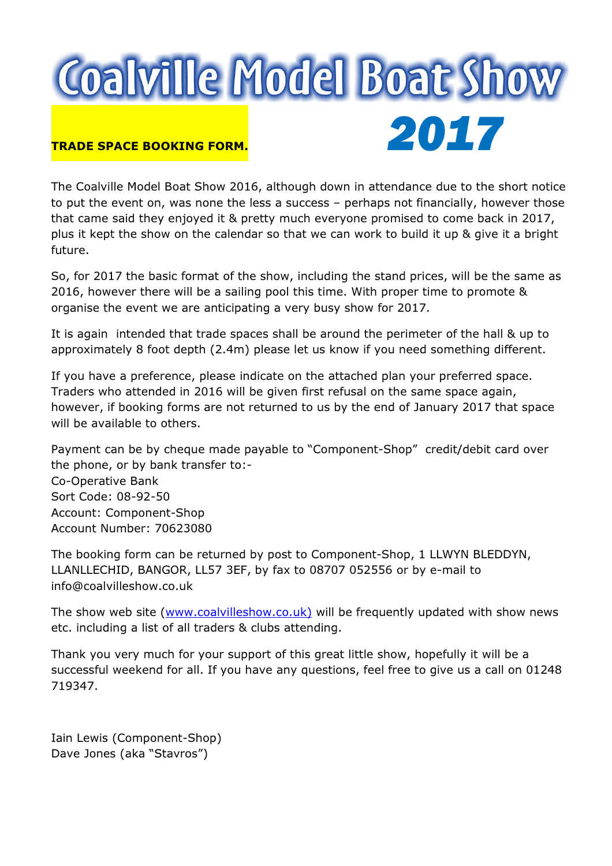# **Coalville Model Boat Show** TRADE SPACE BOOKING FORM. 2017

The Coalville Model Boat Show 2016, although down in attendance due to the short notice to put the event on, was none the less a success – perhaps not financially, however those that came said they enjoyed it & pretty much everyone promised to come back in 2017, plus it kept the show on the calendar so that we can work to build it up & give it a bright future.

So, for 2017 the basic format of the show, including the stand prices, will be the same as 2016, however there will be a sailing pool this time. With proper time to promote & organise the event we are anticipating a very busy show for 2017.

It is again intended that trade spaces shall be around the perimeter of the hall & up to approximately 8 foot depth (2.4m) please let us know if you need something different.

If you have a preference, please indicate on the attached plan your preferred space. Traders who attended in 2016 will be given first refusal on the same space again, however, if booking forms are not returned to us by the end of January 2017 that space will be available to others.

Payment can be by cheque made payable to "Component-Shop" credit/debit card over the phone, or by bank transfer to:- Co-Operative Bank Sort Code: 08-92-50 Account: Component-Shop Account Number: 70623080

The booking form can be returned by post to Component-Shop, 1 LLWYN BLEDDYN, LLANLLECHID, BANGOR, LL57 3EF, by fax to 08707 052556 or by e-mail to info@coalvilleshow.co.uk

The show web site (www.coalvilleshow.co.uk) will be frequently updated with show news etc. including a list of all traders & clubs attending.

Thank you very much for your support of this great little show, hopefully it will be a successful weekend for all. If you have any questions, feel free to give us a call on 01248 719347.

Iain Lewis (Component-Shop) Dave Jones (aka "Stavros")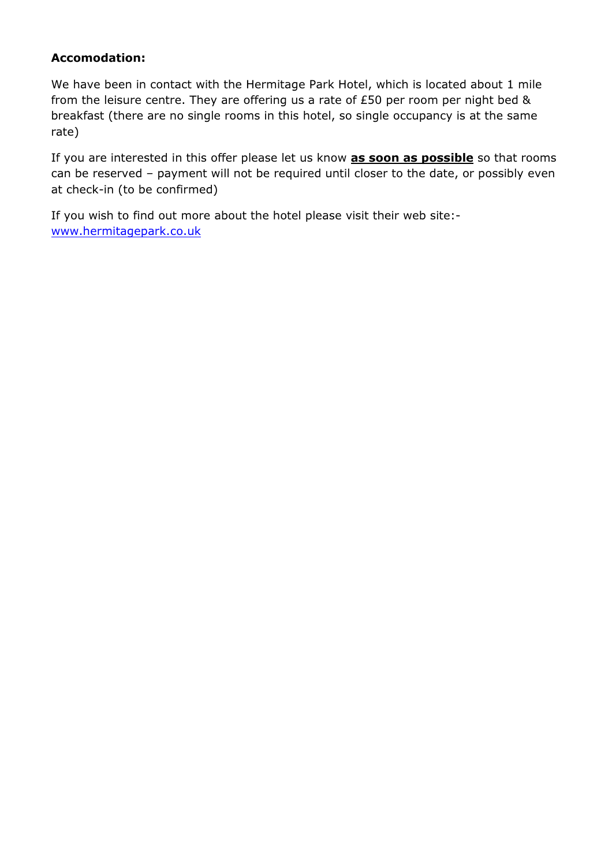## Accomodation:

We have been in contact with the Hermitage Park Hotel, which is located about 1 mile from the leisure centre. They are offering us a rate of £50 per room per night bed & breakfast (there are no single rooms in this hotel, so single occupancy is at the same rate)

If you are interested in this offer please let us know **as soon as possible** so that rooms can be reserved – payment will not be required until closer to the date, or possibly even at check-in (to be confirmed)

If you wish to find out more about the hotel please visit their web site: www.hermitagepark.co.uk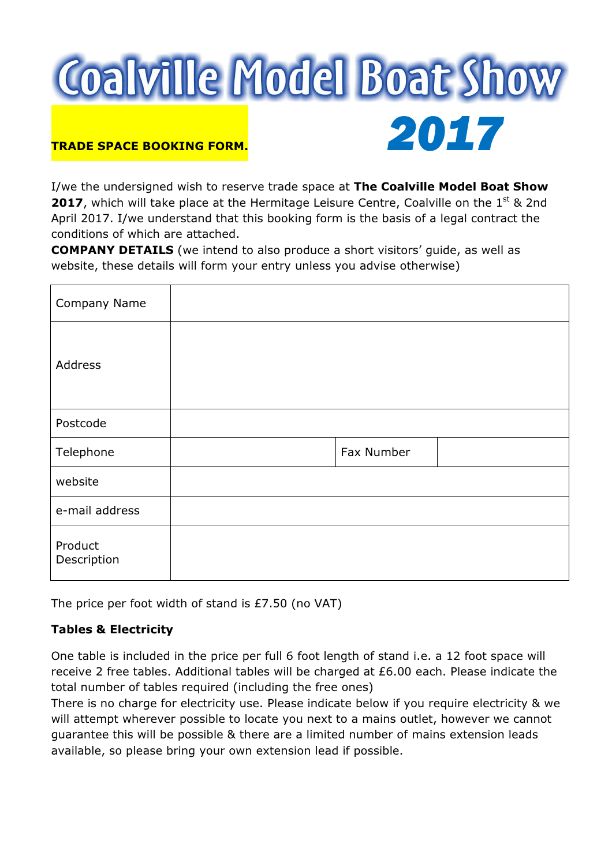

I/we the undersigned wish to reserve trade space at The Coalville Model Boat Show **2017**, which will take place at the Hermitage Leisure Centre, Coalville on the  $1<sup>st</sup>$  & 2nd April 2017. I/we understand that this booking form is the basis of a legal contract the conditions of which are attached.

COMPANY DETAILS (we intend to also produce a short visitors' guide, as well as website, these details will form your entry unless you advise otherwise)

| Company Name           |            |
|------------------------|------------|
| Address                |            |
| Postcode               |            |
| Telephone              | Fax Number |
| website                |            |
| e-mail address         |            |
| Product<br>Description |            |

The price per foot width of stand is £7.50 (no VAT)

## Tables & Electricity

One table is included in the price per full 6 foot length of stand i.e. a 12 foot space will receive 2 free tables. Additional tables will be charged at £6.00 each. Please indicate the total number of tables required (including the free ones)

There is no charge for electricity use. Please indicate below if you require electricity & we will attempt wherever possible to locate you next to a mains outlet, however we cannot guarantee this will be possible & there are a limited number of mains extension leads available, so please bring your own extension lead if possible.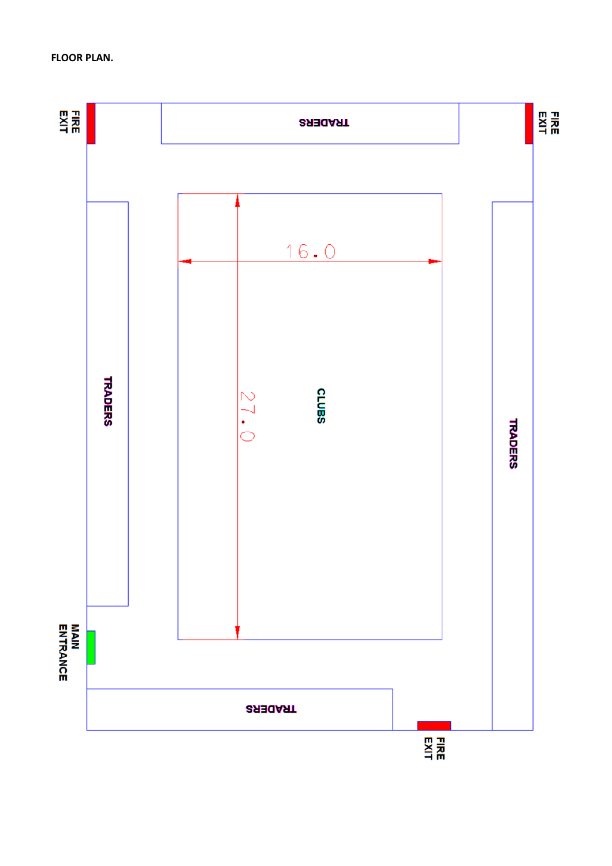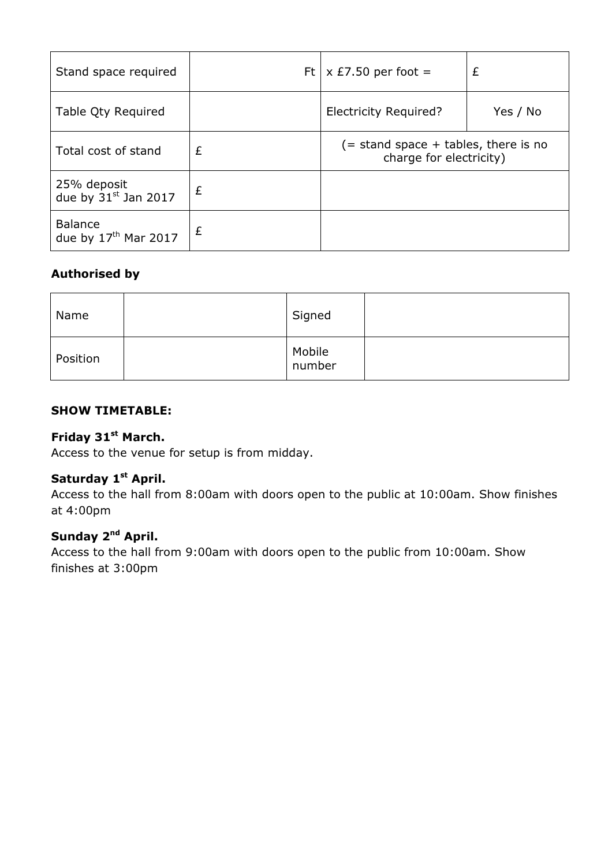| Stand space required                     |   | Ft   $\times$ £7.50 per foot =                                     | £        |
|------------------------------------------|---|--------------------------------------------------------------------|----------|
| Table Qty Required                       |   | <b>Electricity Required?</b>                                       | Yes / No |
| Total cost of stand                      | £ | $($ = stand space + tables, there is no<br>charge for electricity) |          |
| 25% deposit<br>due by $31^{st}$ Jan 2017 | £ |                                                                    |          |
| <b>Balance</b><br>due by $17th$ Mar 2017 | £ |                                                                    |          |

# Authorised by

| Name     | Signed           |  |
|----------|------------------|--|
| Position | Mobile<br>number |  |

## SHOW TIMETABLE:

# Friday 31<sup>st</sup> March.

Access to the venue for setup is from midday.

## Saturday 1<sup>st</sup> April.

Access to the hall from 8:00am with doors open to the public at 10:00am. Show finishes at 4:00pm

# Sunday 2<sup>nd</sup> April.

Access to the hall from 9:00am with doors open to the public from 10:00am. Show finishes at 3:00pm